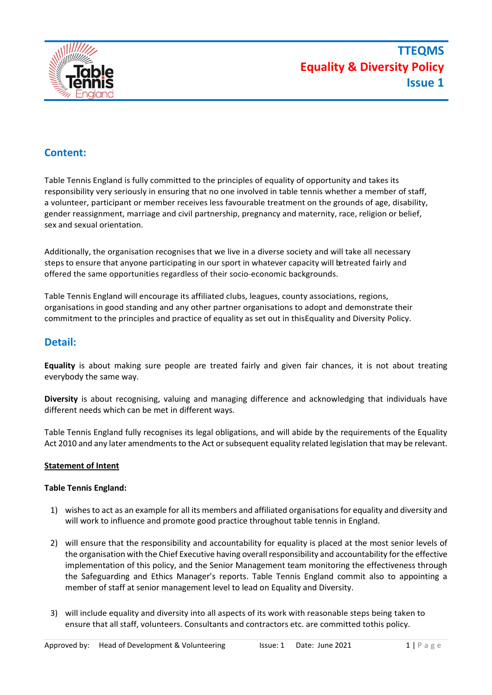

# **Content:**

Table Tennis England is fully committed to the principles of equality of opportunity and takes its responsibility very seriously in ensuring that no one involved in table tennis whether a member of staff, a volunteer, participant or member receives less favourable treatment on the grounds of age, disability, gender reassignment, marriage and civil partnership, pregnancy and maternity, race, religion or belief, sex and sexual orientation.

Additionally, the organisation recognises that we live in a diverse society and will take all necessary steps to ensure that anyone participating in our sport in whatever capacity will betreated fairly and offered the same opportunities regardless of their socio-economic backgrounds.

Table Tennis England will encourage its affiliated clubs, leagues, county associations, regions, organisations in good standing and any other partner organisations to adopt and demonstrate their commitment to the principles and practice of equality as set out in thisEquality and Diversity Policy.

## **Detail:**

**Equality** is about making sure people are treated fairly and given fair chances, it is not about treating everybody the same way.

**Diversity** is about recognising, valuing and managing difference and acknowledging that individuals have different needs which can be met in different ways.

Table Tennis England fully recognises its legal obligations, and will abide by the requirements of the Equality Act 2010 and any later amendments to the Act or subsequent equality related legislation that may be relevant.

## **Statement of Intent**

## **Table Tennis England:**

- 1) wishes to act as an example for all its members and affiliated organisations for equality and diversity and will work to influence and promote good practice throughout table tennis in England.
- 2) will ensure that the responsibility and accountability for equality is placed at the most senior levels of the organisation with the Chief Executive having overall responsibility and accountability for the effective implementation of this policy, and the Senior Management team monitoring the effectiveness through the Safeguarding and Ethics Manager's reports. Table Tennis England commit also to appointing a member of staff at senior management level to lead on Equality and Diversity.
- 3) will include equality and diversity into all aspects of its work with reasonable steps being taken to ensure that all staff, volunteers. Consultants and contractors etc. are committed tothis policy.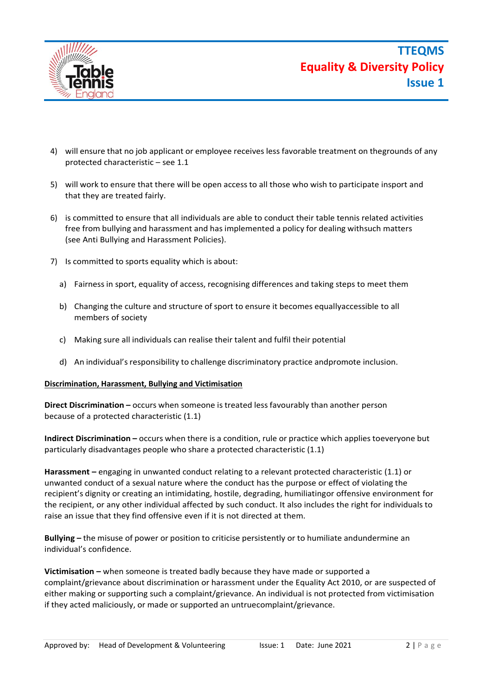

- 4) will ensure that no job applicant or employee receives less favorable treatment on thegrounds of any protected characteristic – see 1.1
- 5) will work to ensure that there will be open access to all those who wish to participate insport and that they are treated fairly.
- 6) is committed to ensure that all individuals are able to conduct their table tennis related activities free from bullying and harassment and has implemented a policy for dealing withsuch matters (see Anti Bullying and Harassment Policies).
- 7) Is committed to sports equality which is about:
	- a) Fairness in sport, equality of access, recognising differences and taking steps to meet them
	- b) Changing the culture and structure of sport to ensure it becomes equallyaccessible to all members of society
	- c) Making sure all individuals can realise their talent and fulfil their potential
	- d) An individual'sresponsibility to challenge discriminatory practice andpromote inclusion.

#### **Discrimination, Harassment, Bullying and Victimisation**

**Direct Discrimination –** occurs when someone is treated less favourably than another person because of a protected characteristic (1.1)

**Indirect Discrimination –** occurs when there is a condition, rule or practice which applies toeveryone but particularly disadvantages people who share a protected characteristic (1.1)

**Harassment –** engaging in unwanted conduct relating to a relevant protected characteristic (1.1) or unwanted conduct of a sexual nature where the conduct has the purpose or effect of violating the recipient's dignity or creating an intimidating, hostile, degrading, humiliatingor offensive environment for the recipient, or any other individual affected by such conduct. It also includes the right for individuals to raise an issue that they find offensive even if it is not directed at them.

**Bullying –** the misuse of power or position to criticise persistently or to humiliate andundermine an individual's confidence.

**Victimisation –** when someone is treated badly because they have made or supported a complaint/grievance about discrimination or harassment under the Equality Act 2010, or are suspected of either making or supporting such a complaint/grievance. An individual is not protected from victimisation if they acted maliciously, or made or supported an untruecomplaint/grievance.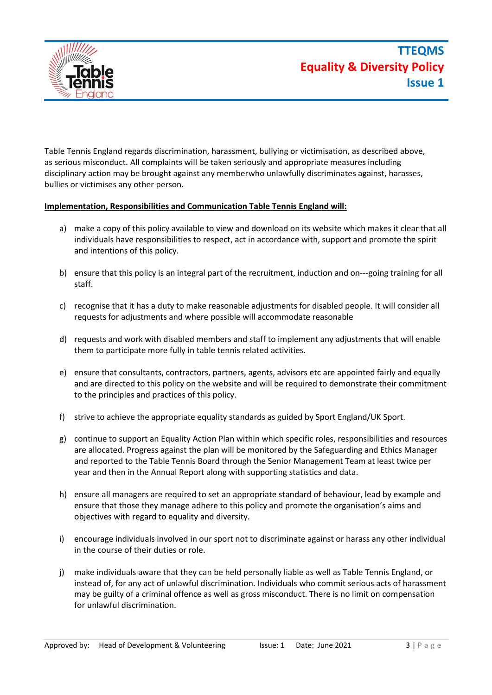

Table Tennis England regards discrimination, harassment, bullying or victimisation, as described above, as serious misconduct. All complaints will be taken seriously and appropriate measures including disciplinary action may be brought against any memberwho unlawfully discriminates against, harasses, bullies or victimises any other person.

### **Implementation, Responsibilities and Communication Table Tennis England will:**

- a) make a copy of this policy available to view and download on its website which makes it clear that all individuals have responsibilities to respect, act in accordance with, support and promote the spirit and intentions of this policy.
- b) ensure that this policy is an integral part of the recruitment, induction and on-‐‐going training for all staff.
- c) recognise that it has a duty to make reasonable adjustments for disabled people. It will consider all requests for adjustments and where possible will accommodate reasonable
- d) requests and work with disabled members and staff to implement any adjustments that will enable them to participate more fully in table tennis related activities.
- e) ensure that consultants, contractors, partners, agents, advisors etc are appointed fairly and equally and are directed to this policy on the website and will be required to demonstrate their commitment to the principles and practices of this policy.
- f) strive to achieve the appropriate equality standards as guided by Sport England/UK Sport.
- g) continue to support an Equality Action Plan within which specific roles, responsibilities and resources are allocated. Progress against the plan will be monitored by the Safeguarding and Ethics Manager and reported to the Table Tennis Board through the Senior Management Team at least twice per year and then in the Annual Report along with supporting statistics and data.
- h) ensure all managers are required to set an appropriate standard of behaviour, lead by example and ensure that those they manage adhere to this policy and promote the organisation's aims and objectives with regard to equality and diversity.
- i) encourage individuals involved in our sport not to discriminate against or harass any other individual in the course of their duties or role.
- j) make individuals aware that they can be held personally liable as well as Table Tennis England, or instead of, for any act of unlawful discrimination. Individuals who commit serious acts of harassment may be guilty of a criminal offence as well as gross misconduct. There is no limit on compensation for unlawful discrimination.